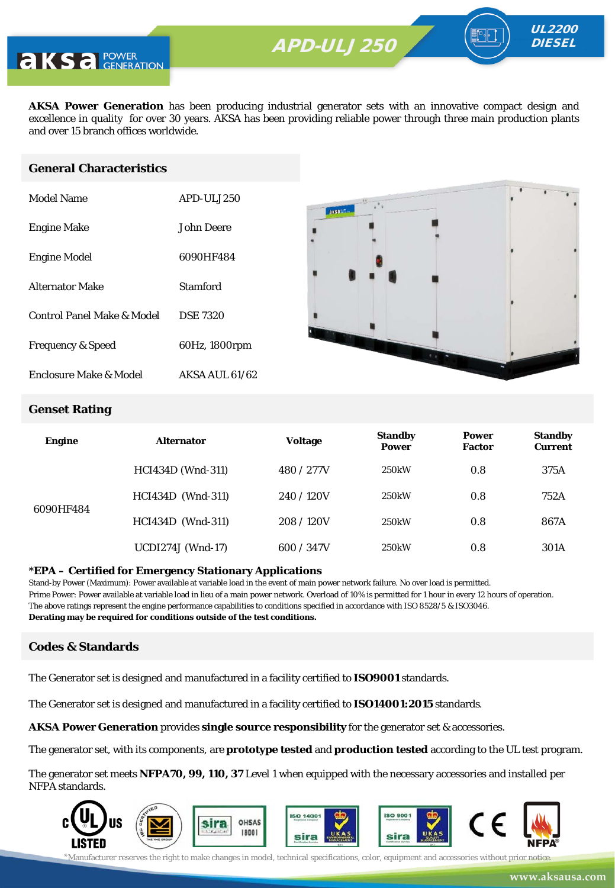

**AKSA Power Generation** has been producing industrial generator sets with an innovative compact design and excellence in quality for over 30 years. AKSA has been providing reliable power through three main production plants and over 15 branch offices worldwide.

### **General Characteristics**

| Model Name                   | APD-ULJ250       |
|------------------------------|------------------|
| <b>Engine Make</b>           | John Deere       |
| <b>Engine Model</b>          | 6090HF484        |
| Alternator Make              | Stamford         |
| Control Panel Make & Model   | <b>DSE 7320</b>  |
| <b>Frequency &amp; Speed</b> | 60Hz, 1800rpm    |
| Enclosure Make & Model       | $AKSA$ AUL 61/62 |



UL2200 **DIESEL** 

### **Genset Rating**

| <b>Engine</b> | <b>Alternator</b>        | <b>Voltage</b> | <b>Standby</b><br><b>Power</b> | <b>Power</b><br><b>Factor</b> | <b>Standby</b><br><b>Current</b> |
|---------------|--------------------------|----------------|--------------------------------|-------------------------------|----------------------------------|
|               | <b>HCI434D</b> (Wnd-311) | 480 / 277V     | 250 <sub>k</sub> W             | 0.8                           | 375A                             |
| 6090HF484     | HCI434D (Wnd-311)        | 240/120V       | 250 <sub>k</sub> W             | 0.8                           | 752A                             |
|               | HCI434D (Wnd-311)        | 208/120V       | 250 <sub>k</sub> W             | 0.8                           | 867A                             |
|               | <b>UCDI274J</b> (Wnd-17) | 600 / 347V     | 250 <sub>k</sub> W             | 0.8                           | 301A                             |

#### **\*EPA – Certified for Emergency Stationary Applications**

Stand-by Power (Maximum): Power available at variable load in the event of main power network failure. No over load is permitted. Prime Power: Power available at variable load in lieu of a main power network. Overload of 10% is permitted for 1 hour in every 12 hours of operation. The above ratings represent the engine performance capabilities to conditions specified in accordance with ISO 8528/5 & ISO3046. **Derating may be required for conditions outside of the test conditions.**

## **Codes & Standards**

The Generator set is designed and manufactured in a facility certified to **ISO9001** standards.

The Generator set is designed and manufactured in a facility certified to **ISO14001:2015** standards.

**AKSA Power Generation** provides **single source responsibility** for the generator set & accessories.

The generator set, with its components, are **prototype tested** and **production tested** according to the UL test program.

The generator set meets **NFPA70, 99, 110, 37** Level 1 when equipped with the necessary accessories and installed per NFPA standards.



\*Manufacturer reserves the right to make changes in model, technical specifications, color, equipment and accessories without prior notice.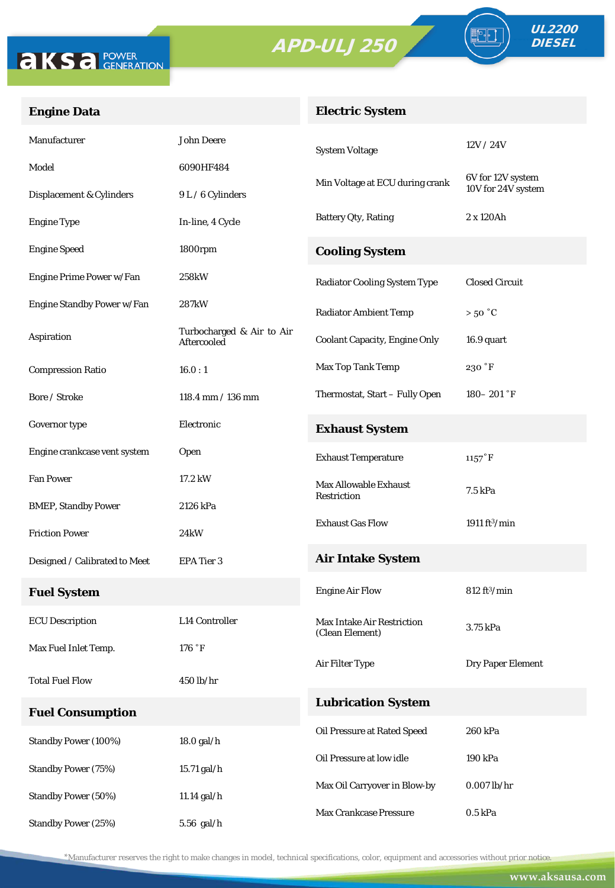# APD-ULJ250





FO

# **Engine Data**

# **Electric System**

| Manufacturer                  | <b>John Deere</b>                        | <b>System Voltage</b>                                | 12V/24V                       |  |
|-------------------------------|------------------------------------------|------------------------------------------------------|-------------------------------|--|
| Model                         | 6090HF484                                |                                                      | 6V for 12V system             |  |
| Displacement & Cylinders      | 9 L / 6 Cylinders                        | Min Voltage at ECU during crank                      | 10V for 24V system            |  |
| <b>Engine Type</b>            | In-line, 4 Cycle                         | <b>Battery Qty, Rating</b>                           | 2 x 120Ah                     |  |
| <b>Engine Speed</b>           | 1800rpm                                  | <b>Cooling System</b>                                |                               |  |
| Engine Prime Power w/Fan      | 258kW                                    | <b>Radiator Cooling System Type</b>                  | <b>Closed Circuit</b>         |  |
| Engine Standby Power w/Fan    | <b>287kW</b>                             | <b>Radiator Ambient Temp</b>                         | $>50\degree C$                |  |
| Aspiration                    | Turbocharged & Air to Air<br>Aftercooled | <b>Coolant Capacity, Engine Only</b>                 | 16.9 quart                    |  |
| <b>Compression Ratio</b>      | 16.0:1                                   | Max Top Tank Temp                                    | 230 °F                        |  |
| Bore / Stroke                 | 118.4 mm / 136 mm                        | Thermostat, Start - Fully Open                       | $180 - 201$ °F                |  |
| Governor type                 | Electronic                               | <b>Exhaust System</b>                                |                               |  |
| Engine crankcase vent system  | Open                                     | <b>Exhaust Temperature</b>                           | $1157°$ F                     |  |
| <b>Fan Power</b>              | 17.2 kW                                  | <b>Max Allowable Exhaust</b><br>Restriction          | 7.5 kPa                       |  |
| <b>BMEP, Standby Power</b>    | 2126 kPa                                 |                                                      |                               |  |
| <b>Friction Power</b>         | 24 <sub>k</sub> W                        | <b>Exhaust Gas Flow</b>                              | 1911 $ft^3/min$               |  |
| Designed / Calibrated to Meet | EPA Tier 3                               | <b>Air Intake System</b>                             |                               |  |
| <b>Fuel System</b>            |                                          | <b>Engine Air Flow</b>                               | $812 \text{ ft}^3/\text{min}$ |  |
| <b>ECU</b> Description        | L14 Controller                           | <b>Max Intake Air Restriction</b><br>(Clean Element) | 3.75 kPa                      |  |
| Max Fuel Inlet Temp.          | 176 °F                                   | Air Filter Type                                      | <b>Dry Paper Element</b>      |  |
| <b>Total Fuel Flow</b>        | $450$ lb/hr                              |                                                      |                               |  |
| <b>Fuel Consumption</b>       |                                          | <b>Lubrication System</b>                            |                               |  |
| Standby Power (100%)          | $18.0$ gal/h                             | Oil Pressure at Rated Speed                          | 260 kPa                       |  |
| <b>Standby Power (75%)</b>    | 15.71 gal/h                              | Oil Pressure at low idle                             | 190 kPa                       |  |
| <b>Standby Power (50%)</b>    | 11.14 gal/h                              | Max Oil Carryover in Blow-by                         | $0.007$ lb/hr                 |  |
| Standby Power (25%)           | 5.56 gal/h                               | Max Crankcase Pressure                               | $0.5$ kPa                     |  |

\*Manufacturer reserves the right to make changes in model, technical specifications, color, equipment and accessories without prior notice.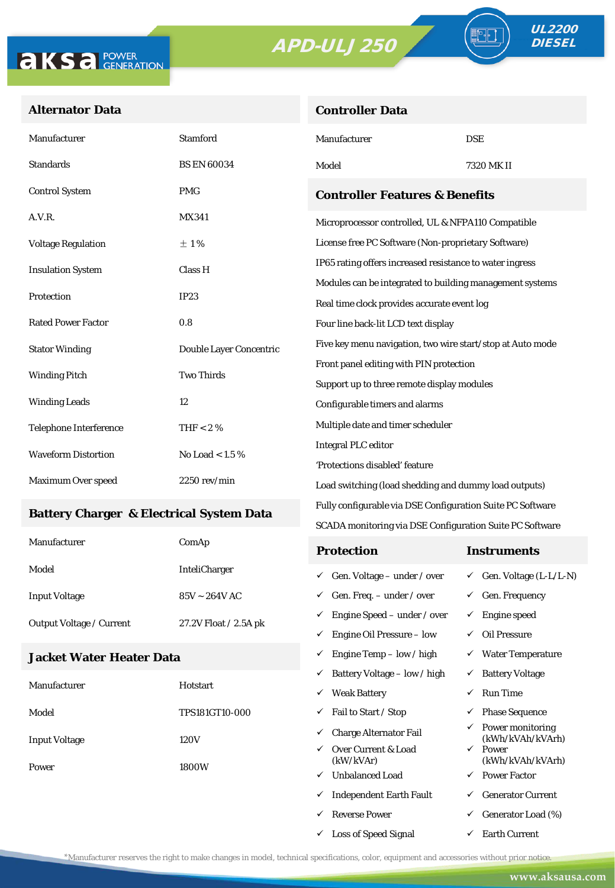# APD-ULJ250

**Controller Data**





ªŀ

# **Alternator Data**

| Manufacturer                                    | <b>Stamford</b>         | Manufacturer                                                                                                    | <b>DSE</b> |  |
|-------------------------------------------------|-------------------------|-----------------------------------------------------------------------------------------------------------------|------------|--|
| <b>Standards</b>                                | <b>BS EN 60034</b>      | Model                                                                                                           | 7320 MK II |  |
| <b>Control System</b>                           | <b>PMG</b>              | <b>Controller Features &amp; Benefits</b>                                                                       |            |  |
| A.V.R.                                          | <b>MX341</b>            | Microprocessor controlled, UL & NFPA110 Compatible                                                              |            |  |
| <b>Voltage Regulation</b>                       | ±1%                     | License free PC Software (Non-proprietary Software)<br>IP65 rating offers increased resistance to water ingress |            |  |
| <b>Insulation System</b>                        | Class H                 |                                                                                                                 |            |  |
| Protection                                      | IP23                    | Modules can be integrated to building management systems                                                        |            |  |
|                                                 |                         | Real time clock provides accurate event log                                                                     |            |  |
| <b>Rated Power Factor</b>                       | 0.8                     | Four line back-lit LCD text display<br>Five key menu navigation, two wire start/stop at Auto mode               |            |  |
| <b>Stator Winding</b>                           | Double Layer Concentric |                                                                                                                 |            |  |
| <b>Two Thirds</b><br><b>Winding Pitch</b>       |                         | Front panel editing with PIN protection                                                                         |            |  |
|                                                 |                         | Support up to three remote display modules                                                                      |            |  |
| <b>Winding Leads</b>                            | 12                      | Configurable timers and alarms                                                                                  |            |  |
| <b>Telephone Interference</b>                   | THF $< 2 \%$            | Multiple date and timer scheduler                                                                               |            |  |
| <b>Waveform Distortion</b><br>No Load < $1.5\%$ |                         | <b>Integral PLC editor</b>                                                                                      |            |  |
|                                                 |                         | 'Protections disabled' feature                                                                                  |            |  |
| Maximum Over speed                              | $2250$ rev/min          | Load switching (load shedding and dummy load outputs)                                                           |            |  |

### **Battery Charger & Electrical System Data**

| Manufacturer                    | ComAp                 | <b>Protection</b>                        | Instruments                         |  |  |
|---------------------------------|-----------------------|------------------------------------------|-------------------------------------|--|--|
| Model                           | <b>InteliCharger</b>  | $\checkmark$ Gen. Voltage – under / over | $\checkmark$ Gen. Voltage (L-L/L-N) |  |  |
| <b>Input Voltage</b>            | $85V \sim 264V$ AC    | $\checkmark$ Gen. Freq. – under / over   | $\checkmark$ Gen. Frequency         |  |  |
| <b>Output Voltage / Current</b> | 27.2V Float / 2.5A pk | $\checkmark$ Engine Speed – under / over | Engine speed                        |  |  |
|                                 |                       | Engine Oil Pressure – low<br>✓           | Oil Pressure                        |  |  |

Fully configurable via DSE Configuration Suite PC Software SCADA monitoring via DSE Configuration Suite PC Software

 $\checkmark$  Engine Temp – low / high  $\checkmark$  Water Temperature

 $\checkmark$  Loss of Speed Signal  $\checkmark$  Earth Current

## **Jacket Water Heater Data**

|                      |                | ✓ | Battery Voltage – low / high     | $\checkmark$ | <b>Battery Voltage</b>               |
|----------------------|----------------|---|----------------------------------|--------------|--------------------------------------|
| Manufacturer         | Hotstart       | ✓ | <b>Weak Battery</b>              | ✓            | <b>Run Time</b>                      |
| Model                | TPS181GT10-000 | ✓ | Fail to Start / Stop             | ✓            | <b>Phase Sequence</b>                |
| <b>Input Voltage</b> | 120V           | ✓ | <b>Charge Alternator Fail</b>    | $\checkmark$ | Power monitoring<br>(kWh/kVAh/kVArh) |
|                      |                | ✓ | Over Current & Load<br>(kW/kVAr) | $\checkmark$ | Power<br>(kWh/kVAh/kVArh)            |
| Power                | 1800W<br>✓     |   | <b>Unbalanced Load</b>           | $\checkmark$ | <b>Power Factor</b>                  |
|                      |                | ✓ | <b>Independent Earth Fault</b>   | ✓            | <b>Generator Current</b>             |
|                      |                |   | <b>Reverse Power</b>             | ✓            | Generator Load (%)                   |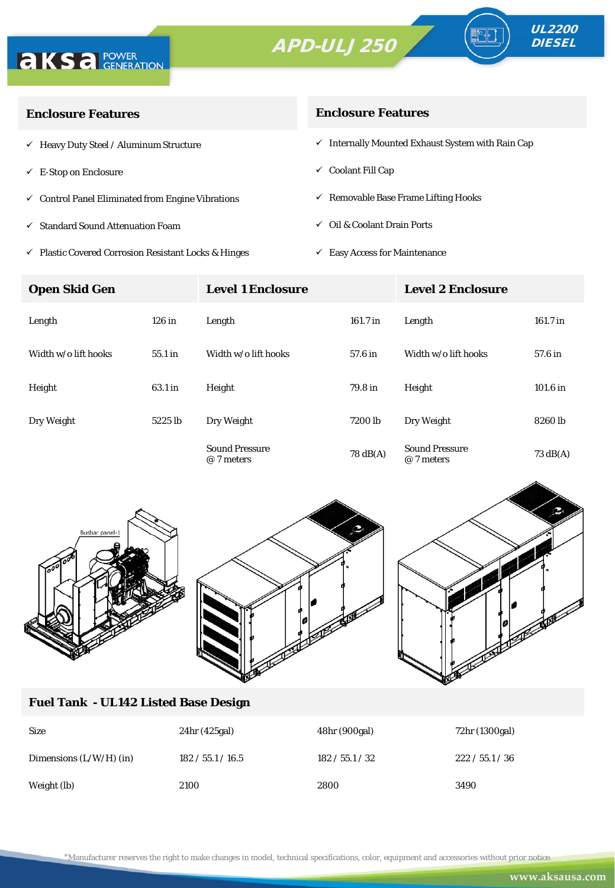# APD-ULJ250





| <b>Enclosure Features</b>                                    | <b>Enclosure Features</b>                                    |  |  |
|--------------------------------------------------------------|--------------------------------------------------------------|--|--|
| $\checkmark$ Heavy Duty Steel / Aluminum Structure           | $\checkmark$ Internally Mounted Exhaust System with Rain Cap |  |  |
| $\checkmark$ E-Stop on Enclosure                             | $\checkmark$ Coolant Fill Cap                                |  |  |
| $\checkmark$ Control Panel Eliminated from Engine Vibrations | $\checkmark$ Removable Base Frame Lifting Hooks              |  |  |
| $\checkmark$ Standard Sound Attenuation Foam                 | $\checkmark$ Oil & Coolant Drain Ports                       |  |  |
|                                                              |                                                              |  |  |

- $\checkmark$ Plastic Covered Corrosion Resistant Locks & Hinges
- $\checkmark~$  Easy Access for Maintenance

| <b>Open Skid Gen</b> |          | <b>Level 1 Enclosure</b>            |                    | <b>Level 2 Enclosure</b>            |                    |
|----------------------|----------|-------------------------------------|--------------------|-------------------------------------|--------------------|
| Length               | $126$ in | Length                              | 161.7 in           | Length                              | 161.7 in           |
| Width w/o lift hooks | 55.1 in  | Width w/o lift hooks                | 57.6 in            | Width w/o lift hooks                | 57.6 in            |
| Height               | 63.1 in  | Height                              | 79.8 in            | Height                              | 101.6 in           |
| Dry Weight           | 5225 lb  | Dry Weight                          | 7200 lb            | Dry Weight                          | 8260 lb            |
|                      |          | <b>Sound Pressure</b><br>@ 7 meters | $78 \text{ dB(A)}$ | <b>Sound Pressure</b><br>@ 7 meters | $73 \text{ dB}(A)$ |



## **Fuel Tank - UL142 Listed Base Design**

| <b>Size</b>               | 24hr (425gal)     | 48hr (900gal)   | 72hr (1300gal)  |
|---------------------------|-------------------|-----------------|-----------------|
| Dimensions $(L/W/H)$ (in) | 182 / 55.1 / 16.5 | 182 / 55.1 / 32 | 222 / 55.1 / 36 |
| Weight (lb)               | 2100              | 2800            | 3490            |